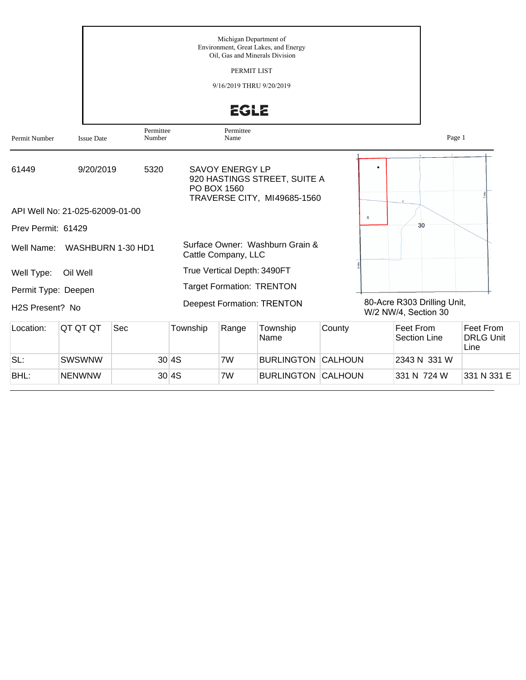|                              |                                 |                     |          | Michigan Department of                | Environment, Great Lakes, and Energy<br>Oil, Gas and Minerals Division |        |                           |                                                     |                                       |
|------------------------------|---------------------------------|---------------------|----------|---------------------------------------|------------------------------------------------------------------------|--------|---------------------------|-----------------------------------------------------|---------------------------------------|
|                              |                                 |                     |          | PERMIT LIST                           |                                                                        |        |                           |                                                     |                                       |
|                              |                                 |                     |          | 9/16/2019 THRU 9/20/2019              |                                                                        |        |                           |                                                     |                                       |
|                              |                                 |                     |          | <b>EGLE</b>                           |                                                                        |        |                           |                                                     |                                       |
| Permit Number                | <b>Issue Date</b>               | Permittee<br>Number |          | Permittee<br>Name                     |                                                                        |        |                           |                                                     | Page 1                                |
| 61449                        | 9/20/2019                       | 5320                |          | <b>SAVOY ENERGY LP</b><br>PO BOX 1560 | 920 HASTINGS STREET, SUITE A<br>TRAVERSE CITY, MI49685-1560            |        |                           | $\mathbf{u}$                                        |                                       |
|                              | API Well No: 21-025-62009-01-00 |                     |          |                                       |                                                                        |        | $\boldsymbol{\mathsf{x}}$ |                                                     |                                       |
| Prev Permit: 61429           |                                 |                     |          |                                       |                                                                        |        |                           | 30                                                  |                                       |
| Well Name:                   |                                 | WASHBURN 1-30 HD1   |          | Cattle Company, LLC                   | Surface Owner: Washburn Grain &                                        |        |                           |                                                     |                                       |
| Well Type:                   | Oil Well                        |                     |          | True Vertical Depth: 3490FT           |                                                                        |        |                           |                                                     |                                       |
| Permit Type: Deepen          |                                 |                     |          |                                       | <b>Target Formation: TRENTON</b>                                       |        |                           |                                                     |                                       |
| H <sub>2</sub> S Present? No |                                 |                     |          |                                       | <b>Deepest Formation: TRENTON</b>                                      |        |                           | 80-Acre R303 Drilling Unit,<br>W/2 NW/4, Section 30 |                                       |
| Location:                    | QT QT QT                        | Sec                 | Township | Range                                 | Township<br>Name                                                       | County |                           | <b>Feet From</b><br><b>Section Line</b>             | Feet From<br><b>DRLG Unit</b><br>Line |
| SL:                          | SWSWNW                          |                     | 30 4S    | 7W                                    | <b>BURLINGTON CALHOUN</b>                                              |        |                           | 2343 N 331 W                                        |                                       |

BHL: NENWNW 30 4S 7W BURLINGTON CALHOUN 331 N 724 W 331 N 331 E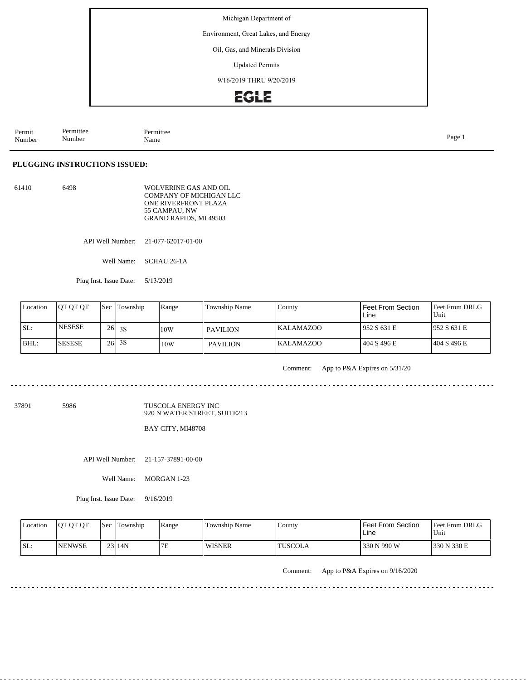Environment, Great Lakes, and Energy

#### Oil, Gas, and Minerals Division

Updated Permits

9/16/2019 THRU 9/20/2019

# **EGLE**

| Permit<br>Number | n.<br>Permittee<br>Number | Permittee<br>Name | $\overline{\phantom{a}}$<br>Раое |
|------------------|---------------------------|-------------------|----------------------------------|
|------------------|---------------------------|-------------------|----------------------------------|

#### **PLUGGING INSTRUCTIONS ISSUED:**

| 61410 | 6498 | WOLVERINE GAS AND OIL<br>COMPANY OF MICHIGAN LLC |
|-------|------|--------------------------------------------------|
|       |      | ONE RIVERFRONT PLAZA                             |
|       |      | 55 CAMPAU. NW                                    |
|       |      | <b>GRAND RAPIDS, MI 49503</b>                    |

API Well Number: 21-077-62017-01-00

Well Name: SCHAU 26-1A

Plug Inst. Issue Date: 5/13/2019

| Location | <b>IOT OT OT</b> | <b>Sec Township</b> | Range | Township Name   | County           | Feet From Section<br>Line | <b>IFeet From DRLG</b><br>Unit |
|----------|------------------|---------------------|-------|-----------------|------------------|---------------------------|--------------------------------|
| SL:      | <b>INESESE</b>   | $26$ 3S             | 10W   | <b>PAVILION</b> | IKALAMAZOO       | 1952 S 631 E              | 1952 S 631 E                   |
| BHL:     | <b>SESESE</b>    | $26$ 3S             | 10W   | <b>PAVILION</b> | <b>KALAMAZOO</b> | 404 S 496 E               | 1404 S 496 E                   |

Comment: App to P&A Expires on 5/31/20

 $- - - -$ . . . . . . . . . . . . . . .

37891 5986

TUSCOLA ENERGY INC 920 N WATER STREET, SUITE213

BAY CITY, MI48708

API Well Number: 21-157-37891-00-00

Well Name: MORGAN 1-23

Plug Inst. Issue Date: 9/16/2019

| Location | <b>OT OT OT</b> | <b>Sec</b> Township | Range | Township Name | County         | Feet From Section<br>Line | <b>Feet From DRLG</b><br>'Unit |
|----------|-----------------|---------------------|-------|---------------|----------------|---------------------------|--------------------------------|
| ISL:     | <b>INENWSE</b>  | $23$ 14N            | 7E    | <b>WISNER</b> | <b>TUSCOLA</b> | 330 N 990 W               | 1330 N 330 E                   |

Comment: App to P&A Expires on 9/16/2020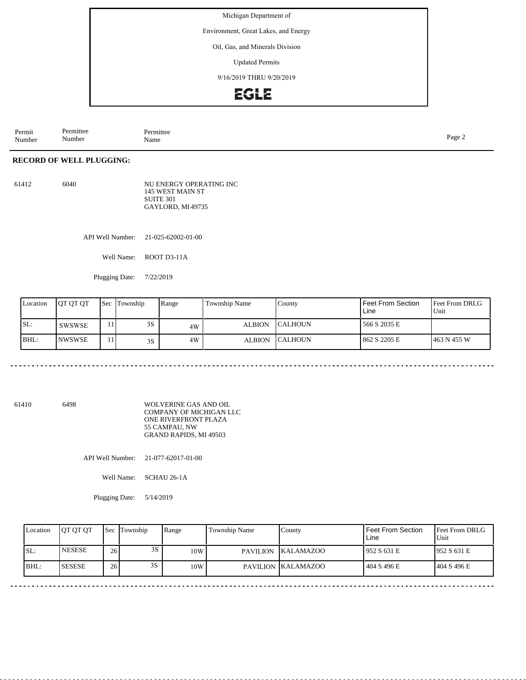Environment, Great Lakes, and Energy

Oil, Gas, and Minerals Division

Updated Permits

9/16/2019 THRU 9/20/2019

**EGLE** 

Permit Number Permittee Number Permittee<br>Name Page 2<br>Name

### **RECORD OF WELL PLUGGING:**

61412 6040 NU ENERGY OPERATING INC 145 WEST MAIN ST SUITE 301 GAYLORD, MI 49735

API Well Number: 21-025-62002-01-00

Well Name: ROOT D3-11A

Plugging Date: 7/22/2019

| Location | IOT OT OT      |         | <b>Sec</b> Township | Range | <b>Township Name</b> | County          | Feet From Section<br>Line | Feet From DRLG<br>Unit |
|----------|----------------|---------|---------------------|-------|----------------------|-----------------|---------------------------|------------------------|
| SL:      | <b>SWSWSE</b>  | $\pm 1$ | 3S                  | 4W    | <b>ALBION</b>        | <b>ICALHOUN</b> | 566 S 2035 E              |                        |
| BHL:     | <b>INWSWSE</b> | 11      | 3S                  | 4W    | <b>ALBION</b>        | <b>ICALHOUN</b> | 862 S 2205 E              | 1463 N 455 W           |

61410 6498 WOLVERINE GAS AND OIL COMPANY OF MICHIGAN LLC ONE RIVERFRONT PLAZA 55 CAMPAU, NW GRAND RAPIDS, MI 49503

API Well Number: 21-077-62017-01-00

Well Name: SCHAU 26-1A

Plugging Date: 5/14/2019

| Location | <b>IOT OT OT</b> | 'Sec | Township | Range | Township Name   | County             | l Feet From Section.<br>Line | <b>IFeet From DRLG</b><br>Unit |
|----------|------------------|------|----------|-------|-----------------|--------------------|------------------------------|--------------------------------|
| SL:      | <b>NESESE</b>    | 26   | 3S       | 10W   | <b>PAVILION</b> | KALAMAZOO          | 1952 S 631 E                 | 1952 S 631 E                   |
| BHL:     | <b>SESESE</b>    | 26   | 3S       | 10W   |                 | PAVILION KALAMAZOO | 404 S 496 E                  | 1404 S 496 E                   |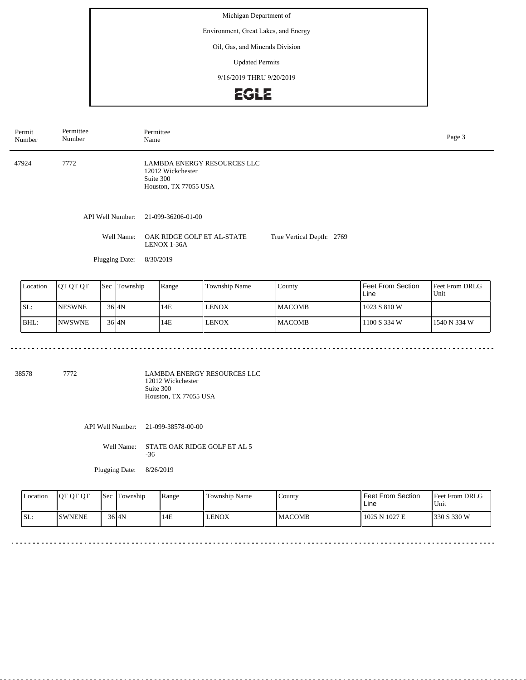Environment, Great Lakes, and Energy

Oil, Gas, and Minerals Division

Updated Permits

9/16/2019 THRU 9/20/2019

**EGLE** 

| Permit<br>Number | Permittee<br>Number | Permittee<br>Page 3<br>Name                                                                   |                           |  |  |  |  |
|------------------|---------------------|-----------------------------------------------------------------------------------------------|---------------------------|--|--|--|--|
| 47924            | 7772                | <b>LAMBDA ENERGY RESOURCES LLC</b><br>12012 Wickchester<br>Suite 300<br>Houston, TX 77055 USA |                           |  |  |  |  |
|                  | API Well Number:    | 21-099-36206-01-00                                                                            |                           |  |  |  |  |
|                  | Well Name:          | OAK RIDGE GOLF ET AL-STATE<br>LENOX 1-36A                                                     | True Vertical Depth: 2769 |  |  |  |  |
|                  | Plugging Date:      | 8/30/2019                                                                                     |                           |  |  |  |  |

| Location | <b>OT OT OT</b> | 'Sec | Township  | Range | Township Name | County         | Feet From Section<br>Line | <b>Feet From DRLG</b><br>Unit |
|----------|-----------------|------|-----------|-------|---------------|----------------|---------------------------|-------------------------------|
| ISL:     | <b>INESWNE</b>  |      | $36$ $4N$ | 14E   | <b>LENOX</b>  | <b>IMACOMB</b> | 1023 S 810 W              |                               |
| BHL:     | <b>INWSWNE</b>  |      | $36$ $4N$ | 14E   | <b>LENOX</b>  | <b>IMACOMB</b> | 1100 S 334 W              | 1540 N 334 W                  |

<u>. . . . . . . . . . .</u>

38578 7772

LAMBDA ENERGY RESOURCES LLC 12012 Wickchester Suite 300 Houston, TX 77055 USA

API Well Number: 21-099-38578-00-00

Well Name: STATE OAK RIDGE GOLF ET AL 5 -36

Plugging Date: 8/26/2019

| Location | <b>OT OT OT</b> | Sec | Township           | Range | Township Name | Countv        | <b>Feet From Section</b><br>Line | Feet From DRLG<br>Unit |
|----------|-----------------|-----|--------------------|-------|---------------|---------------|----------------------------------|------------------------|
| SL:      | <b>SWNENE</b>   |     | $36$ <sub>4N</sub> | 14E   | LENOX         | <b>MACOMB</b> | 1025 N 1027 E                    | 330 S 330 W            |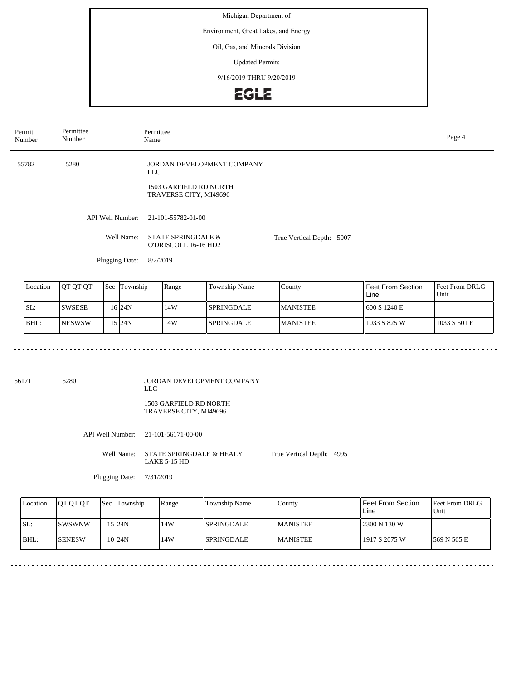Environment, Great Lakes, and Energy

Oil, Gas, and Minerals Division

Updated Permits

9/16/2019 THRU 9/20/2019

**EGLE** 

| Permit<br>Number | Permittee<br>Number | Permittee<br>Name                                                                       |                           | Page 4 |
|------------------|---------------------|-----------------------------------------------------------------------------------------|---------------------------|--------|
| 55782            | 5280                | JORDAN DEVELOPMENT COMPANY<br>LLC .<br>1503 GARFIELD RD NORTH<br>TRAVERSE CITY, MI49696 |                           |        |
|                  | API Well Number:    | 21-101-55782-01-00                                                                      |                           |        |
|                  | Well Name:          | <b>STATE SPRINGDALE &amp;</b><br>O'DRISCOLL 16-16 HD2                                   | True Vertical Depth: 5007 |        |
|                  | Plugging Date:      | 8/2/2019                                                                                |                           |        |

| Location | <b>IOT OT OT</b> | 'Sec | Township  | Range | Township Name     | County           | Feet From Section<br>Line | Feet From DRLG<br>Unit |
|----------|------------------|------|-----------|-------|-------------------|------------------|---------------------------|------------------------|
| ISL:     | ISWSESE          |      | 16   24 N | 14W   | I SPRINGDALE.     | <b>IMANISTEE</b> | 600 S 1240 E              |                        |
| BHL:     | <b>INESWSW</b>   |      | 15 I24N   | 14W   | <b>SPRINGDALE</b> | <b>IMANISTEE</b> | 1033 S 825 W              | 1033 S 501 E           |

56171 5280

JORDAN DEVELOPMENT COMPANY LLC 1503 GARFIELD RD NORTH TRAVERSE CITY, MI49696

API Well Number: 21-101-56171-00-00

Well Name: STATE SPRINGDALE & HEALY LAKE 5-15 HD True Vertical Depth: 4995

Plugging Date: 7/31/2019

| Location | <b>JOT OT OT</b> | Sec Township      | Range | Township Name     | County           | Feet From Section<br>Line | <b>Feet From DRLG</b><br>Unit |
|----------|------------------|-------------------|-------|-------------------|------------------|---------------------------|-------------------------------|
| SL:      | ISWSWNW          | 15 I24N           | 14W   | <b>SPRINGDALE</b> | <b>IMANISTEE</b> | 2300 N 130 W              |                               |
| BHL:     | <b>SENESW</b>    | 10 <sub>24N</sub> | 14W   | <b>SPRINGDALE</b> | <b>MANISTEE</b>  | 1917 S 2075 W             | 1569 N 565 E                  |

<u>. . . . . . . . .</u>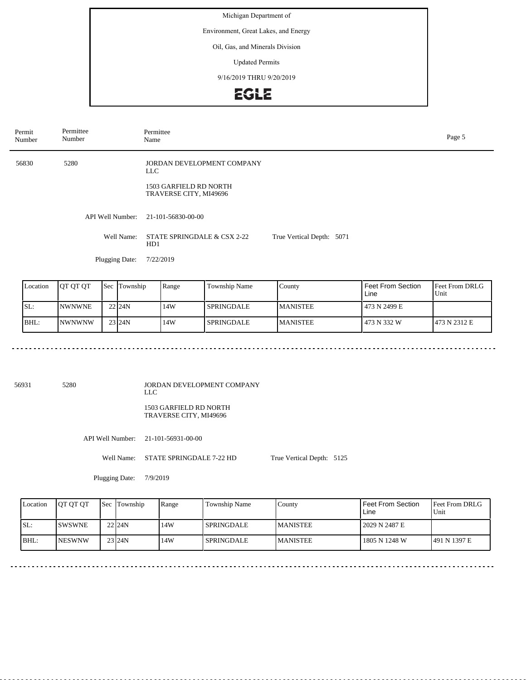Environment, Great Lakes, and Energy

Oil, Gas, and Minerals Division

Updated Permits

9/16/2019 THRU 9/20/2019

**EGLE** 

| Permit<br>Number | Permittee<br>Number | Permittee<br>Name                                                                     |                           | Page 5 |
|------------------|---------------------|---------------------------------------------------------------------------------------|---------------------------|--------|
| 56830            | 5280                | JORDAN DEVELOPMENT COMPANY<br>LLC<br>1503 GARFIELD RD NORTH<br>TRAVERSE CITY, MI49696 |                           |        |
|                  | API Well Number:    | 21-101-56830-00-00                                                                    |                           |        |
|                  | Well Name:          | STATE SPRINGDALE & CSX 2-22<br>HD1                                                    | True Vertical Depth: 5071 |        |
|                  | Plugging Date:      | 7/22/2019                                                                             |                           |        |
|                  |                     |                                                                                       |                           |        |

| Location | <b>IOT OT OT</b> | <b>Sec Township</b> | Range | Township Name | County           | l Feet From Section<br>Line | <b>IFeet From DRLG</b><br>Unit |
|----------|------------------|---------------------|-------|---------------|------------------|-----------------------------|--------------------------------|
| SL:      | <b>INWNWNE</b>   | 22 <sub>124N</sub>  | 14W   | l SPRINGDALE  | <b>IMANISTEE</b> | 473 N 2499 E                |                                |
| BHL:     | INWNWNW          | 23 24N              | 14W   | l SPRINGDALE  | <b>IMANISTEE</b> | 473 N 332 W                 | 1473 N 2312 E                  |

56931 5280

JORDAN DEVELOPMENT COMPANY LLC

1503 GARFIELD RD NORTH TRAVERSE CITY, MI49696

API Well Number: 21-101-56931-00-00

Well Name: STATE SPRINGDALE 7-22 HD

True Vertical Depth: 5125

 $\sim$   $\sim$   $\sim$   $\sim$ 

Plugging Date: 7/9/2019

. . . . . . . . . . . .

| Location | <b>IOT OT OT</b> | <b>Sec</b> Township | Range | Township Name | County          | Feet From Section<br>Line | <b>Feet From DRLG</b><br>Unit |
|----------|------------------|---------------------|-------|---------------|-----------------|---------------------------|-------------------------------|
| ISL:     | ISWSWNE          | 22 <sub>124N</sub>  | 14W   | l SPRINGDALE  | <b>MANISTEE</b> | 2029 N 2487 E             |                               |
| IBHL:    | <b>INESWNW</b>   | 23 <sub>124N</sub>  | 14W   | l SPRINGDALE  | <b>MANISTEE</b> | 1805 N 1248 W             | 491 N 1397 E                  |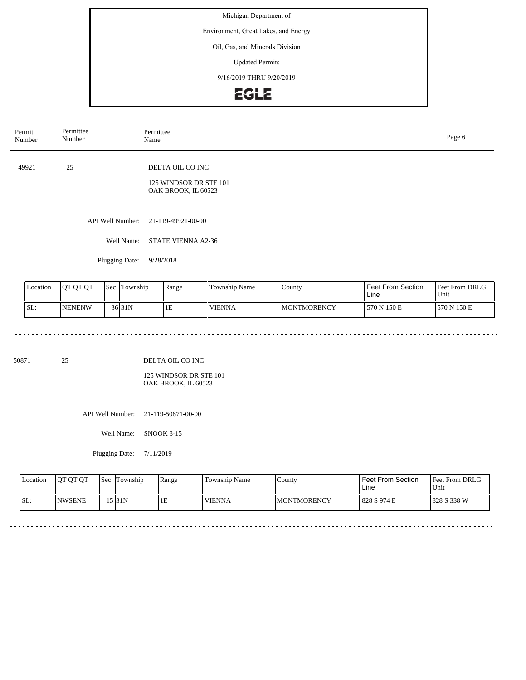Environment, Great Lakes, and Energy

Oil, Gas, and Minerals Division

Updated Permits

9/16/2019 THRU 9/20/2019



| Permit<br>Number | Permittee<br>Number | Permittee<br>Name                                                 | Page 6 |
|------------------|---------------------|-------------------------------------------------------------------|--------|
| 49921            | 25                  | DELTA OIL CO INC<br>125 WINDSOR DR STE 101<br>OAK BROOK, IL 60523 |        |
|                  |                     | API Well Number: 21-119-49921-00-00                               |        |
|                  | Well Name:          | <b>STATE VIENNA A2-36</b>                                         |        |
|                  | Plugging Date:      | 9/28/2018                                                         |        |

| Location | <b>OT OT OT</b> | <b>Sec</b> | l'I'ownship         | Range | Township Name | County             | l Feet From Section.<br>Line | <b>Feet From DRLG</b><br>Unit |
|----------|-----------------|------------|---------------------|-------|---------------|--------------------|------------------------------|-------------------------------|
| SL:      | <b>NENENW</b>   |            | 36 <sub>131</sub> N | ТE    | <b>VIENNA</b> | <b>MONTMORENCY</b> | 570 N 150 E                  | 570 N 150 E                   |

50871 25

DELTA OIL CO INC

125 WINDSOR DR STE 101 OAK BROOK, IL 60523

API Well Number: 21-119-50871-00-00

Well Name: SNOOK 8-15

Plugging Date: 7/11/2019

. . . . . . . . .

| Location | <b>OT OT OT</b> | 'Sec | Township  | Range | Township Name | County             | <b>Feet From Section</b><br>Line | <b>Feet From DRLG</b><br>Unit |
|----------|-----------------|------|-----------|-------|---------------|--------------------|----------------------------------|-------------------------------|
| SL:      | <b>NWSENE</b>   |      | 15 I 31 N | ШE    | <b>VIENNA</b> | <b>MONTMORENCY</b> | 828 S 974 E                      | 1828 S 338 W                  |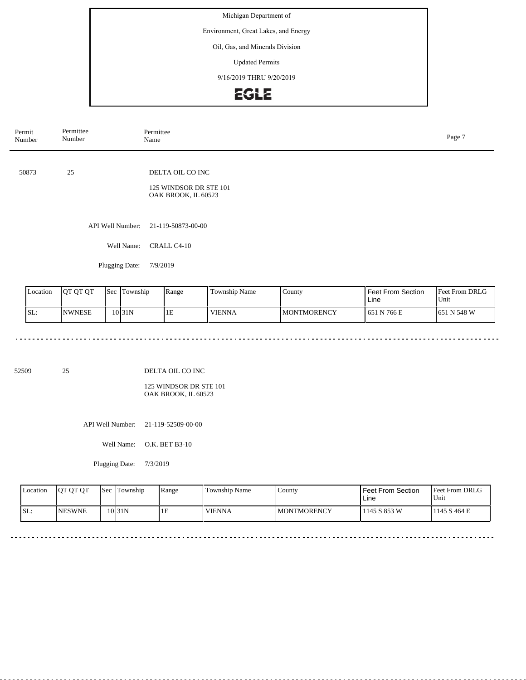Environment, Great Lakes, and Energy

Oil, Gas, and Minerals Division

Updated Permits

9/16/2019 THRU 9/20/2019



| Permit<br>Number | Permittee<br>Number | Permittee<br>Page 7<br>Name                                       |  |  |  |  |
|------------------|---------------------|-------------------------------------------------------------------|--|--|--|--|
| 50873            | 25                  | DELTA OIL CO INC<br>125 WINDSOR DR STE 101<br>OAK BROOK, IL 60523 |  |  |  |  |
|                  | Well Name:          | API Well Number: 21-119-50873-00-00<br>CRALL C4-10                |  |  |  |  |
|                  | Plugging Date:      | 7/9/2019                                                          |  |  |  |  |

| Location | <b>OT QT QT</b> | Sec | l'I`ownship        | Range | Township Name | County              | l Feet From Section<br>Line | <b>Feet From DRLG</b><br>Unit |
|----------|-----------------|-----|--------------------|-------|---------------|---------------------|-----------------------------|-------------------------------|
| SL:      | <b>INWNESE</b>  |     | 10 <sub>31</sub> N | 1E    | <b>VIENNA</b> | <b>IMONTMORENCY</b> | 1651 N 766 E                | 1651 N 548 W                  |

52509 25

DELTA OIL CO INC

125 WINDSOR DR STE 101 OAK BROOK, IL 60523

API Well Number: 21-119-52509-00-00

Well Name: O.K. BET B3-10

Plugging Date: 7/3/2019

| Location | <b>OT OT OT</b> | <b>Sec Township</b> | Range | Township Name | County              | <b>Feet From Section</b><br>Line | <b>Feet From DRLG</b><br>Unit |
|----------|-----------------|---------------------|-------|---------------|---------------------|----------------------------------|-------------------------------|
| ISL:     | <b>INESWNE</b>  | 10 <sub>31N</sub>   | 1E    | <b>VIENNA</b> | <b>IMONTMORENCY</b> | 1145 S 853 W                     | 1145 S 464 E                  |

 $\sim$   $\sim$   $\sim$   $\sim$ 

 $\sim$   $\sim$   $\sim$   $\sim$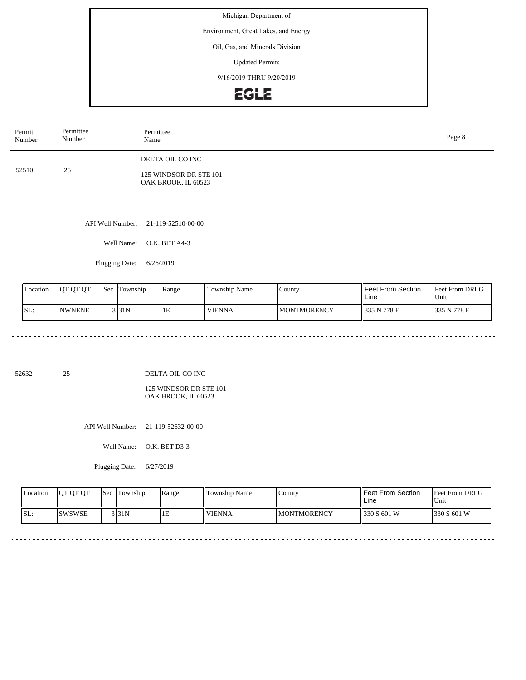Environment, Great Lakes, and Energy

Oil, Gas, and Minerals Division

Updated Permits

9/16/2019 THRU 9/20/2019



| Permit<br>Number | Permittee<br>Number | Permittee<br>Page 8<br>Name                   |  |  |  |  |  |
|------------------|---------------------|-----------------------------------------------|--|--|--|--|--|
| 52510            | 25                  | DELTA OIL CO INC                              |  |  |  |  |  |
|                  |                     | 125 WINDSOR DR STE 101<br>OAK BROOK, IL 60523 |  |  |  |  |  |
|                  |                     |                                               |  |  |  |  |  |
|                  |                     | API Well Number: 21-119-52510-00-00           |  |  |  |  |  |
|                  | Well Name:          | O.K. BET A4-3                                 |  |  |  |  |  |
|                  | Plugging Date:      | 6/26/2019                                     |  |  |  |  |  |

Feet From DRLG Unit 335 N 778 E 335 N 778 E Feet From Section Line County **MONTMORENCY** Location QT QT QT Sec Township Range Township Name SL: NWNENE Sec Township 3 31N 1E VIENNA

52632 25

DELTA OIL CO INC

125 WINDSOR DR STE 101 OAK BROOK, IL 60523

API Well Number: 21-119-52632-00-00

Well Name: O.K. BET D3-3

Plugging Date: 6/27/2019

| <b>L</b> ocation | OT OT OT      | 'Sec | Township | Range | Township Name | . County            | <b>Feet From Section</b><br>Line | Feet From DRLG<br>'Unit |
|------------------|---------------|------|----------|-------|---------------|---------------------|----------------------------------|-------------------------|
| ISL:             | <b>SWSWSE</b> |      | 3 3 1 N  | 1E    | <b>VIENNA</b> | <b>IMONTMORENCY</b> | 330 S 601 W                      | 330 S 601 W             |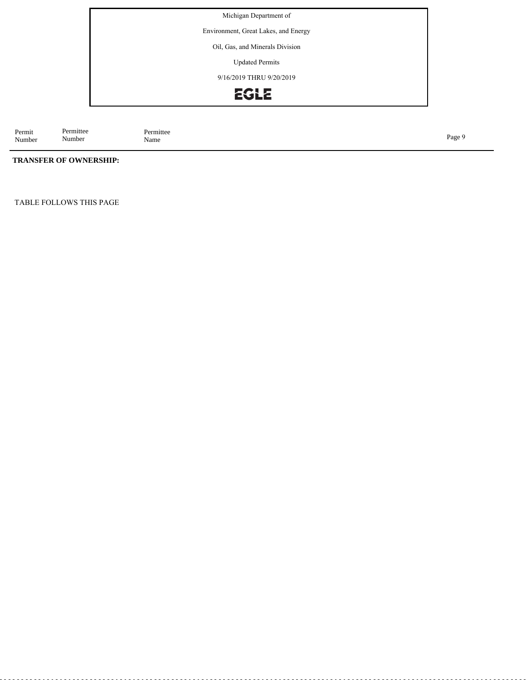Environment, Great Lakes, and Energy

Oil, Gas, and Minerals Division

Updated Permits

9/16/2019 THRU 9/20/2019



Permit Number Permittee<br>Name Page 9<br>Name

## **TRANSFER OF OWNERSHIP:**

Permittee Number

TABLE FOLLOWS THIS PAGE